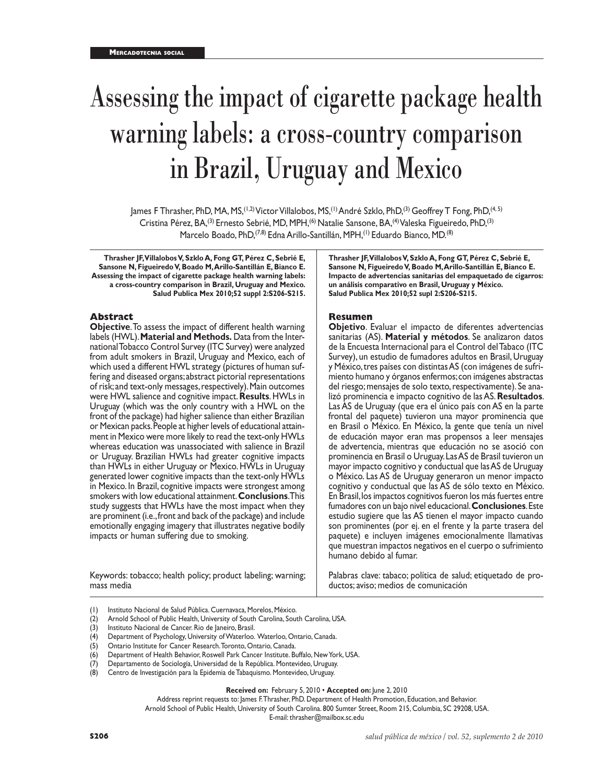# Assessing the impact of cigarette package health warning labels: a cross-country comparison in Brazil, Uruguay and Mexico

James F Thrasher, PhD, MA, MS,<sup>(1,2)</sup> Victor Villalobos, MS,<sup>(1)</sup> André Szklo, PhD,<sup>(3)</sup> Geoffrey T Fong, PhD,<sup>(4,5)</sup> Cristina Pérez, BA,(3) Ernesto Sebrié, MD, MPH,(6) Natalie Sansone, BA,(4) Valeska Figueiredo, PhD,(3) Marcelo Boado, PhD, <sup>(7,8)</sup> Edna Arillo-Santillán, MPH, <sup>(1)</sup> Eduardo Bianco, MD. <sup>(8)</sup>

**Thrasher JF, Villalobos V, Szklo A, Fong GT, Pérez C, Sebrié E, Sansone N, Figueiredo V, Boado M, Arillo-Santillán E, Bianco E. Assessing the impact of cigarette package health warning labels: a cross-country comparison in Brazil, Uruguay and Mexico. Salud Publica Mex 2010;52 suppl 2:S206-S215.**

### **Abstract**

**Objective**. To assess the impact of different health warning labels (HWL). **Material and Methods.** Data from the Inter national Tobacco Control Survey (ITC Survey) were analyzed from adult smokers in Brazil, Uruguay and Mexico, each of which used a different HWL strategy (pictures of human suf fering and diseased organs; abstract pictorial representations of risk; and text-only messages, respectively). Main outcomes were HWL salience and cognitive impact. **Results**. HWLs in Uruguay (which was the only country with a HWL on the front of the package) had higher salience than either Brazilian or Mexican packs. People at higher levels of educational attain ment in Mexico were more likely to read the text-only HWLs whereas education was unassociated with salience in Brazil or Uruguay. Brazilian HWLs had greater cognitive impacts than HWLs in either Uruguay or Mexico. HWLs in Uruguay generated lower cognitive impacts than the text-only HWLs in Mexico. In Brazil, cognitive impacts were strongest among smokers with low educational attainment. **Conclusions**. This study suggests that HWLs have the most impact when they are prominent (i.e., front and back of the package) and include emotionally engaging imagery that illustrates negative bodily impacts or human suffering due to smoking.

Keywords: tobacco; health policy; product labeling; warning; mass media

**Thrasher JF, Villalobos V, Szklo A, Fong GT, Pérez C, Sebrié E, Sansone N, Figueiredo V, Boado M, Arillo-Santillán E, Bianco E. Impacto de advertencias sanitarias del empaquetado de cigarros: un análisis comparativo en Brasil, Uruguay y México. Salud Publica Mex 2010;52 supl 2:S206-S215.**

### **Resumen**

**Objetivo**. Evaluar el impacto de diferentes advertencias sanitarias (AS). **Material y métodos**. Se analizaron datos de la Encuesta Internacional para el Control del Tabaco (ITC Survey), un estudio de fumadores adultos en Brasil, Uruguay y México, tres países con distintas AS (con imágenes de sufri miento humano y órganos enfermos; con imágenes abstractas del riesgo; mensajes de solo texto, respectivamente). Se ana lizó prominencia e impacto cognitivo de las AS. **Resultados**. Las AS de Uruguay (que era el único país con AS en la parte frontal del paquete) tuvieron una mayor prominencia que en Brasil o México. En México, la gente que tenía un nivel de educación mayor eran mas propensos a leer mensajes de advertencia, mientras que educación no se asoció con prominencia en Brasil o Uruguay. Las AS de Brasil tuvieron un mayor impacto cognitivo y conductual que las AS de Uruguay o México. Las AS de Uruguay generaron un menor impacto cognitivo y conductual que las AS de sólo texto en México. En Brasil, los impactos cognitivos fueron los más fuertes entre fumadores con un bajo nivel educacional. **Conclusiones**. Este estudio sugiere que las AS tienen el mayor impacto cuando son prominentes (por ej. en el frente y la parte trasera del paquete) e incluyen imágenes emocionalmente llamativas que muestran impactos negativos en el cuerpo o sufrimiento humano debido al fumar.

Palabras clave: tabaco; política de salud; etiquetado de productos; aviso; medios de comunicación

- (1) Instituto Nacional de Salud Pública. Cuernavaca, Morelos, México.
- (2) Arnold School of Public Health, University of South Carolina, South Carolina, USA.
- (3) Instituto Nacional de Cancer. Rio de Janeiro, Brasil.
- (4) Department of Psychology, University of Waterloo. Waterloo, Ontario, Canada.
- (5) Ontario Institute for Cancer Research. Toronto, Ontario, Canada.
- (6) Department of Health Behavior, Roswell Park Cancer Institute. Buffalo, New York, USA.
- (7) Departamento de Sociología, Universidad de la República. Montevideo, Uruguay.
- (8) Centro de Investigación para la Epidemia de Tabaquismo. Montevideo, Uruguay.

**Received on:** February 5, 2010 • **Accepted on:** June 2, 2010

Address reprint requests to: James F. Thrasher, PhD. Department of Health Promotion, Education, and Behavior. Arnold School of Public Health, University of South Carolina. 800 Sumter Street, Room 215, Columbia, SC 29208, USA.

E-mail: thrasher@mailbox.sc.edu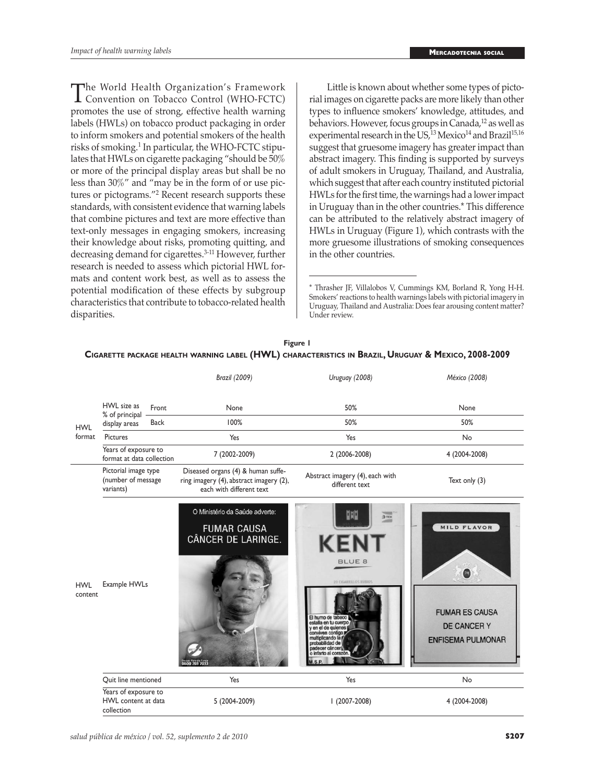The World Health Organization's Framework<br>Convention on Tobacco Control (WHO-FCTC)<br>promotes the use of strong offective health warning promotes the use of strong, effective health warning labels (HWLs) on tobacco product packaging in order to inform smokers and potential smokers of the health risks of smoking.<sup>1</sup> In particular, the WHO-FCTC stipulates that HWLs on cigarette packaging "should be 50% or more of the principal display areas but shall be no less than 30%" and "may be in the form of or use pictures or pictograms."<sup>2</sup> Recent research supports these standards, with consistent evidence that warning labels that combine pictures and text are more effective than text-only messages in engaging smokers, increasing their knowledge about risks, promoting quitting, and decreasing demand for cigarettes.3-11 However, further research is needed to assess which pictorial HWL formats and content work best, as well as to assess the potential modification of these effects by subgroup characteristics that contribute to tobacco-related health disparities.

Little is known about whether some types of pictorial images on cigarette packs are more likely than other types to influence smokers' knowledge, attitudes, and behaviors. However, focus groups in Canada,<sup>12</sup> as well as experimental research in the US,<sup>13</sup> Mexico<sup>14</sup> and Brazil<sup>15,16</sup> suggest that gruesome imagery has greater impact than abstract imagery. This finding is supported by surveys of adult smokers in Uruguay, Thailand, and Australia, which suggest that after each country instituted pictorial HWLs for the first time, the warnings had a lower impact in Uruguay than in the other countries.\* This difference can be attributed to the relatively abstract imagery of HWLs in Uruguay (Figure 1), which contrasts with the more gruesome illustrations of smoking consequences in the other countries.

|                          |                                                           |             | <b>Brazil (2009)</b>                                                                                      | Uruguay (2008)                                                                                                                                                                                                                                  | México (2008)                                                                               |  |  |
|--------------------------|-----------------------------------------------------------|-------------|-----------------------------------------------------------------------------------------------------------|-------------------------------------------------------------------------------------------------------------------------------------------------------------------------------------------------------------------------------------------------|---------------------------------------------------------------------------------------------|--|--|
|                          | HWL size as                                               | Front       | None                                                                                                      | 50%                                                                                                                                                                                                                                             | None                                                                                        |  |  |
|                          | % of principal<br>display areas                           | <b>Back</b> | 100%                                                                                                      | 50%                                                                                                                                                                                                                                             | 50%                                                                                         |  |  |
| format                   | Pictures                                                  |             | Yes                                                                                                       | Yes                                                                                                                                                                                                                                             | No                                                                                          |  |  |
| <b>HWL</b><br><b>HWL</b> | Years of exposure to<br>format at data collection         |             | 7 (2002-2009)                                                                                             | 2 (2006-2008)                                                                                                                                                                                                                                   | 4 (2004-2008)                                                                               |  |  |
| content                  | Pictorial image type<br>(number of message<br>variants)   |             | Diseased organs (4) & human suffe-<br>ring imagery (4), abstract imagery (2),<br>each with different text | Abstract imagery (4), each with<br>different text                                                                                                                                                                                               | Text only (3)                                                                               |  |  |
|                          | Example HWLs                                              |             | O Ministério da Saúde adverte:<br><b>FUMAR CAUSA</b><br>CÂNCER DE LARINGE.<br>800 703 7033                | 뼕<br>Элек<br><b>KENT</b><br><b>BLUE 8</b><br><b>20 CIGARRILLOS RUBIOS</b><br>El humo de tabaco<br>estalla en tu cuerpo<br>en el de guienes<br>conviven contigo<br>multiplicando la<br>probabilidad de<br>adecer cáncer!<br>o infarto al corazón | MILD FLAVOR<br>0<br><b>FUMAR ES CAUSA</b><br><b>DE CANCER Y</b><br><b>ENFISEMA PULMONAR</b> |  |  |
|                          | Quit line mentioned                                       |             | Yes                                                                                                       | Yes                                                                                                                                                                                                                                             | No                                                                                          |  |  |
|                          | Years of exposure to<br>HWL content at data<br>collection |             | 5 (2004-2009)                                                                                             | $1(2007-2008)$                                                                                                                                                                                                                                  | 4 (2004-2008)                                                                               |  |  |

**Figure 1 Cigarette package health warning label (HWL) characteristics in Brazil, Uruguay & Mexico, 2008-2009**

<sup>\*</sup> Thrasher JF, Villalobos V, Cummings KM, Borland R, Yong H-H. Smokers' reactions to health warnings labels with pictorial imagery in Uruguay, Thailand and Australia: Does fear arousing content matter? Under review.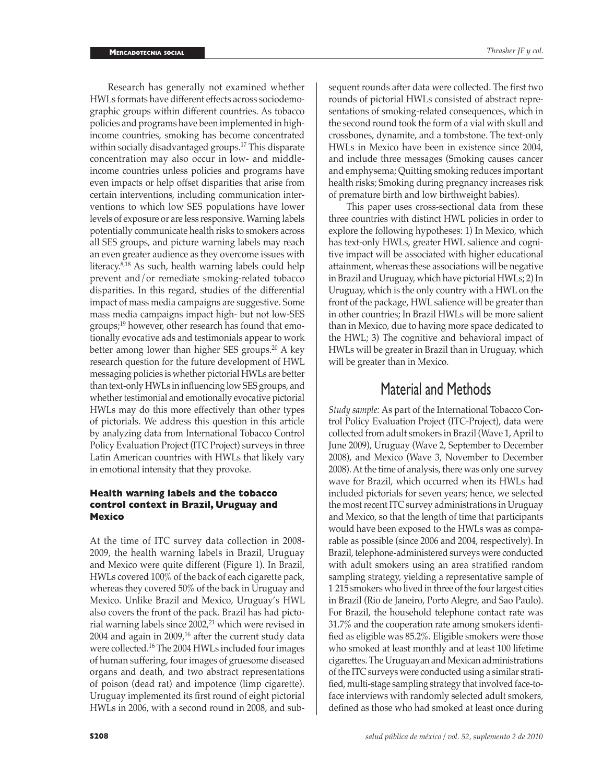*Thrasher JF y col.*

Research has generally not examined whether HWLs formats have different effects across sociodemographic groups within different countries. As tobacco policies and programs have been implemented in highincome countries, smoking has become concentrated within socially disadvantaged groups.<sup>17</sup> This disparate concentration may also occur in low- and middleincome countries unless policies and programs have even impacts or help offset disparities that arise from certain interventions, including communication interventions to which low SES populations have lower levels of exposure or are less responsive. Warning labels potentially communicate health risks to smokers across all SES groups, and picture warning labels may reach an even greater audience as they overcome issues with literacy.8,18 As such, health warning labels could help prevent and/or remediate smoking-related tobacco disparities. In this regard, studies of the differential impact of mass media campaigns are suggestive. Some mass media campaigns impact high- but not low-SES groups;19 however, other research has found that emotionally evocative ads and testimonials appear to work better among lower than higher SES groups.<sup>20</sup> A key research question for the future development of HWL messaging policies is whether pictorial HWLs are better than text-only HWLs in influencing low SES groups, and whether testimonial and emotionally evocative pictorial HWLs may do this more effectively than other types of pictorials. We address this question in this article by analyzing data from International Tobacco Control Policy Evaluation Project (ITC Project) surveys in three Latin American countries with HWLs that likely vary in emotional intensity that they provoke.

# **Health warning labels and the tobacco control context in Brazil, Uruguay and Mexico**

At the time of ITC survey data collection in 2008- 2009, the health warning labels in Brazil, Uruguay and Mexico were quite different (Figure 1). In Brazil, HWLs covered 100% of the back of each cigarette pack, whereas they covered 50% of the back in Uruguay and Mexico. Unlike Brazil and Mexico, Uruguay's HWL also covers the front of the pack. Brazil has had pictorial warning labels since 2002,<sup>21</sup> which were revised in 2004 and again in 2009,16 after the current study data were collected.16 The 2004 HWLs included four images of human suffering, four images of gruesome diseased organs and death, and two abstract representations of poison (dead rat) and impotence (limp cigarette). Uruguay implemented its first round of eight pictorial HWLs in 2006, with a second round in 2008, and sub-

sequent rounds after data were collected. The first two rounds of pictorial HWLs consisted of abstract representations of smoking-related consequences, which in the second round took the form of a vial with skull and crossbones, dynamite, and a tombstone. The text-only HWLs in Mexico have been in existence since 2004, and include three messages (Smoking causes cancer and emphysema; Quitting smoking reduces important health risks; Smoking during pregnancy increases risk of premature birth and low birthweight babies).

This paper uses cross-sectional data from these three countries with distinct HWL policies in order to explore the following hypotheses: 1) In Mexico, which has text-only HWLs, greater HWL salience and cognitive impact will be associated with higher educational attainment, whereas these associations will be negative in Brazil and Uruguay, which have pictorial HWLs; 2) In Uruguay, which is the only country with a HWL on the front of the package, HWL salience will be greater than in other countries; In Brazil HWLs will be more salient than in Mexico, due to having more space dedicated to the HWL; 3) The cognitive and behavioral impact of HWLs will be greater in Brazil than in Uruguay, which will be greater than in Mexico.

# Material and Methods

*Study sample:* As part of the International Tobacco Control Policy Evaluation Project (ITC-Project), data were collected from adult smokers in Brazil (Wave 1, April to June 2009), Uruguay (Wave 2, September to December 2008), and Mexico (Wave 3, November to December 2008). At the time of analysis, there was only one survey wave for Brazil, which occurred when its HWLs had included pictorials for seven years; hence, we selected the most recent ITC survey administrations in Uruguay and Mexico, so that the length of time that participants would have been exposed to the HWLs was as comparable as possible (since 2006 and 2004, respectively). In Brazil, telephone-administered surveys were conducted with adult smokers using an area stratified random sampling strategy, yielding a representative sample of 1 215 smokers who lived in three of the four largest cities in Brazil (Rio de Janeiro, Porto Alegre, and Sao Paulo). For Brazil, the household telephone contact rate was 31.7% and the cooperation rate among smokers identified as eligible was 85.2%. Eligible smokers were those who smoked at least monthly and at least 100 lifetime cigarettes. The Uruguayan and Mexican administrations of the ITC surveys were conducted using a similar stratified, multi-stage sampling strategy that involved face-toface interviews with randomly selected adult smokers, defined as those who had smoked at least once during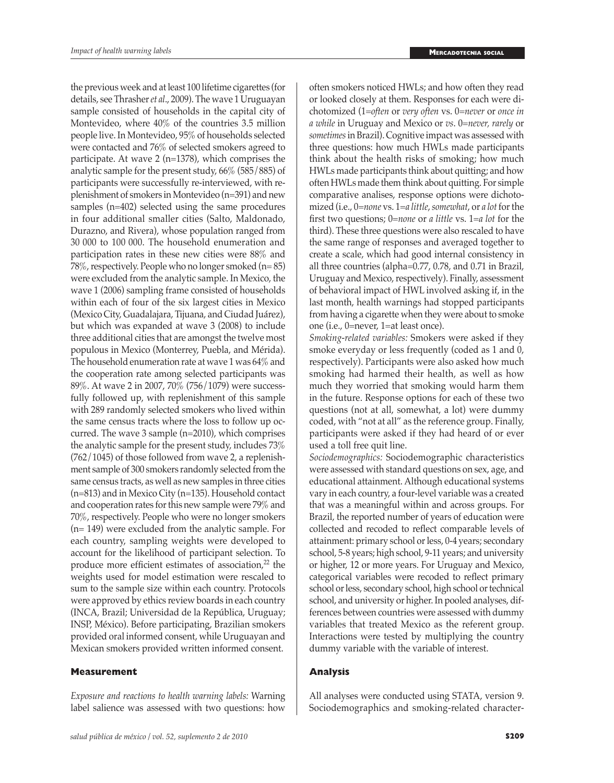the previous week and at least 100 lifetime cigarettes (for details, see Thrasher *et al*., 2009). The wave 1 Uruguayan sample consisted of households in the capital city of Montevideo, where 40% of the countries 3.5 million people live. In Montevideo, 95% of households selected were contacted and 76% of selected smokers agreed to participate. At wave 2 (n=1378), which comprises the analytic sample for the present study, 66% (585/885) of participants were successfully re-interviewed, with replenishment of smokers in Montevideo (n=391) and new samples (n=402) selected using the same procedures in four additional smaller cities (Salto, Maldonado, Durazno, and Rivera), whose population ranged from 30 000 to 100 000. The household enumeration and participation rates in these new cities were 88% and 78%, respectively. People who no longer smoked (n= 85) were excluded from the analytic sample. In Mexico, the wave 1 (2006) sampling frame consisted of households within each of four of the six largest cities in Mexico (Mexico City, Guadalajara, Tijuana, and Ciudad Juárez), but which was expanded at wave 3 (2008) to include three additional cities that are amongst the twelve most populous in Mexico (Monterrey, Puebla, and Mérida). The household enumeration rate at wave 1 was 64% and the cooperation rate among selected participants was 89%. At wave 2 in 2007, 70% (756/1079) were successfully followed up, with replenishment of this sample with 289 randomly selected smokers who lived within the same census tracts where the loss to follow up occurred. The wave 3 sample (n=2010), which comprises the analytic sample for the present study, includes 73% (762/1045) of those followed from wave 2, a replenishment sample of 300 smokers randomly selected from the same census tracts, as well as new samples in three cities (n=813) and in Mexico City (n=135). Household contact and cooperation rates for this new sample were 79% and 70%, respectively. People who were no longer smokers (n= 149) were excluded from the analytic sample. For each country, sampling weights were developed to account for the likelihood of participant selection. To produce more efficient estimates of association,<sup>22</sup> the weights used for model estimation were rescaled to sum to the sample size within each country. Protocols were approved by ethics review boards in each country (INCA, Brazil; Universidad de la República, Uruguay; INSP, México). Before participating, Brazilian smokers provided oral informed consent, while Uruguayan and Mexican smokers provided written informed consent.

# **Measurement**

*Exposure and reactions to health warning labels:* Warning label salience was assessed with two questions: how

often smokers noticed HWLs; and how often they read or looked closely at them. Responses for each were dichotomized (1=*often* or *very often* vs. 0=*never* or *once in a while* in Uruguay and Mexico or *vs*. 0=*never, rarely* or *sometimes* in Brazil). Cognitive impact was assessed with three questions: how much HWLs made participants think about the health risks of smoking; how much HWLs made participants think about quitting; and how often HWLs made them think about quitting. For simple comparative analises, response options were dichotomized (i.e., 0=*none* vs. 1=*a little*, *somewhat*, or *a lot* for the first two questions; 0=*none* or *a little* vs. 1=*a lot* for the third). These three questions were also rescaled to have the same range of responses and averaged together to create a scale, which had good internal consistency in all three countries (alpha=0.77, 0.78, and 0.71 in Brazil, Uruguay and Mexico, respectively). Finally, assessment of behavioral impact of HWL involved asking if, in the last month, health warnings had stopped participants from having a cigarette when they were about to smoke one (i.e., 0=never, 1=at least once).

*Smoking-related variables:* Smokers were asked if they smoke everyday or less frequently (coded as 1 and 0, respectively). Participants were also asked how much smoking had harmed their health, as well as how much they worried that smoking would harm them in the future. Response options for each of these two questions (not at all, somewhat, a lot) were dummy coded, with "not at all" as the reference group. Finally, participants were asked if they had heard of or ever used a toll free quit line.

*Sociodemographics:* Sociodemographic characteristics were assessed with standard questions on sex, age, and educational attainment. Although educational systems vary in each country, a four-level variable was a created that was a meaningful within and across groups. For Brazil, the reported number of years of education were collected and recoded to reflect comparable levels of attainment: primary school or less, 0-4 years; secondary school, 5-8 years; high school, 9-11 years; and university or higher, 12 or more years. For Uruguay and Mexico, categorical variables were recoded to reflect primary school or less, secondary school, high school or technical school, and university or higher. In pooled analyses, differences between countries were assessed with dummy variables that treated Mexico as the referent group. Interactions were tested by multiplying the country dummy variable with the variable of interest.

# **Analysis**

All analyses were conducted using STATA, version 9. Sociodemographics and smoking-related character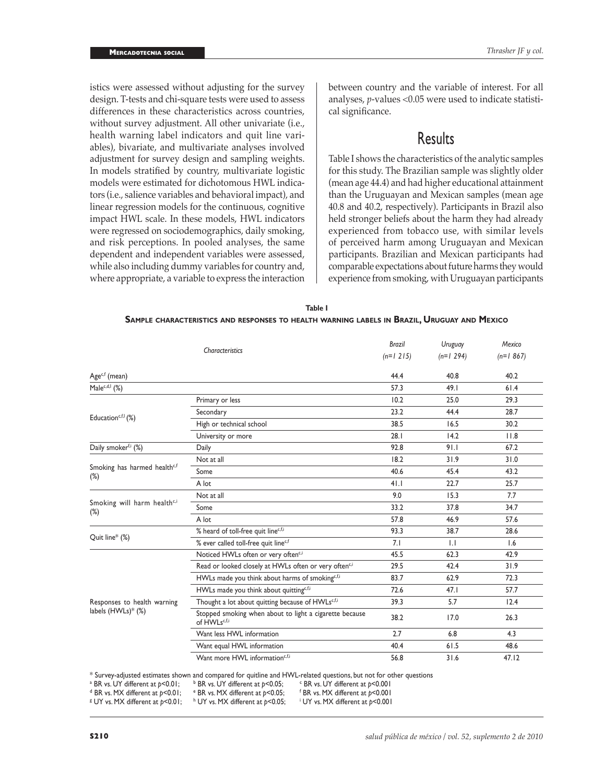istics were assessed without adjusting for the survey design. T-tests and chi-square tests were used to assess differences in these characteristics across countries, without survey adjustment. All other univariate (i.e., health warning label indicators and quit line variables), bivariate, and multivariate analyses involved adjustment for survey design and sampling weights. In models stratified by country, multivariate logistic models were estimated for dichotomous HWL indicators (i.e., salience variables and behavioral impact), and linear regression models for the continuous, cognitive impact HWL scale. In these models, HWL indicators were regressed on sociodemographics, daily smoking, and risk perceptions. In pooled analyses, the same dependent and independent variables were assessed, while also including dummy variables for country and, where appropriate, a variable to express the interaction

between country and the variable of interest. For all analyses, *p*-values <0.05 were used to indicate statistical significance.

# **Results**

Table I shows the characteristics of the analytic samples for this study. The Brazilian sample was slightly older (mean age 44.4) and had higher educational attainment than the Uruguayan and Mexican samples (mean age 40.8 and 40.2, respectively). Participants in Brazil also held stronger beliefs about the harm they had already experienced from tobacco use, with similar levels of perceived harm among Uruguayan and Mexican participants. Brazilian and Mexican participants had comparable expectations about future harms they would experience from smoking, with Uruguayan participants

| Table I                                                                                     |  |
|---------------------------------------------------------------------------------------------|--|
| SAMPLE CHARACTERISTICS AND RESPONSES TO HEALTH WARNING LABELS IN BRAZIL, URUGUAY AND MEXICO |  |

|                                                    |                                                                                                                                                                                            | <b>Brazil</b> | Uruguay     | Mexico       |  |
|----------------------------------------------------|--------------------------------------------------------------------------------------------------------------------------------------------------------------------------------------------|---------------|-------------|--------------|--|
|                                                    |                                                                                                                                                                                            | $(n=1 215)$   | $(n=1 294)$ | $(n=1, 867)$ |  |
| Age <sup>c,f</sup> (mean)                          |                                                                                                                                                                                            | 44.4          | 40.8        | 40.2         |  |
| Malec,d,l (%)                                      |                                                                                                                                                                                            | 57.3          | 49.1        | 61.4         |  |
|                                                    | Primary or less                                                                                                                                                                            | 10.2          | 25.0        | 29.3         |  |
|                                                    | Secondary                                                                                                                                                                                  | 23.2          | 44.4        | 28.7         |  |
| Education <sup>c,f,l</sup> $(\%)$                  | High or technical school                                                                                                                                                                   | 38.5          | 16.5        | 30.2         |  |
|                                                    | Characteristics<br>28.1<br>University or more<br>92.8<br>18.2<br>40.6<br>41.1<br>9.0<br>33.2<br>57.8<br>93.3<br>7.1<br>45.5<br>29.5<br>83.7<br>72.6<br>39.3<br>38.2<br>2.7<br>40.4<br>56.8 | 14.2          | 11.8        |              |  |
| Daily smoker <sup>f,i</sup> (%)                    | Daily                                                                                                                                                                                      |               | 91.1        | 67.2         |  |
|                                                    | Not at all                                                                                                                                                                                 |               | 31.9        | 31.0         |  |
| Smoking has harmed health <sup>c,f</sup><br>$(\%)$ | Some                                                                                                                                                                                       |               | 45.4        | 43.2         |  |
|                                                    | A lot                                                                                                                                                                                      |               | 22.7        | 25.7         |  |
|                                                    | Not at all                                                                                                                                                                                 |               | 15.3        | 7.7          |  |
| Smoking will harm health <sup>c,i</sup><br>$(\%)$  | Some                                                                                                                                                                                       |               | 37.8        | 34.7         |  |
|                                                    | A lot                                                                                                                                                                                      |               | 46.9        | 57.6         |  |
|                                                    | % heard of toll-free quit linec,f,i                                                                                                                                                        |               | 38.7        | 28.6         |  |
| Quit line* (%)                                     | % ever called toll-free quit linec,f                                                                                                                                                       |               | 1.1         | 1.6          |  |
|                                                    | Noticed HWLs often or very often <sup>c,i</sup>                                                                                                                                            |               | 62.3        | 42.9         |  |
|                                                    | Read or looked closely at HWLs often or very oftenci                                                                                                                                       |               | 42.4        | 31.9         |  |
|                                                    | HWLs made you think about harms of smoking <sup>e,f,i</sup>                                                                                                                                |               | 62.9        | 72.3         |  |
|                                                    | HWLs made you think about quittingc,f,i                                                                                                                                                    |               | 47.1        | 57.7         |  |
| Responses to health warning                        | Thought a lot about quitting because of HWLs <sup>c,f,i</sup>                                                                                                                              |               | 5.7         | 12.4         |  |
| labels (HWLs)* (%)                                 | Stopped smoking when about to light a cigarette because<br>of HWLsc,f,i                                                                                                                    |               | 17.0        | 26.3         |  |
|                                                    | Want less HWL information                                                                                                                                                                  |               | 6.8         | 4.3          |  |
|                                                    | Want equal HWL information                                                                                                                                                                 |               | 61.5        | 48.6         |  |
|                                                    | Want more HWL information <sup>c,f,i</sup>                                                                                                                                                 |               | 31.6        | 47.12        |  |

\* Survey-adjusted estimates shown and compared for quitline and HWL-related questions, but not for other questions<br><sup>a</sup> BR vs. UY different at p<0.01; b BR vs. UY different at p<0.05; <sup>c</sup> BR vs. UY different at p<0.001

<sup>a</sup> BR vs. UY different at *p*<0.01; <sup>b</sup> <sup>b</sup> BR vs. UY different at *p*<0.05;

<sup>e</sup> BR vs. MX different at  $p$ <0.05; UY vs. MX different at *p*<0.01; <sup>h</sup> <sup>h</sup> UY vs. MX different at *p*<0.05;

<sup>a</sup> BR vs. UY different at *p*<0.01; b BR vs. UY different at *p*<0.05; e BR vs. MX different at *p*<0.001 different at *p*<0.001; e BR vs. MX different at *p*<0.001<br>d BR vs. MX different at *p*<0.01; b 11Y vs. MX differen UY vs. MX different at *p*<0.001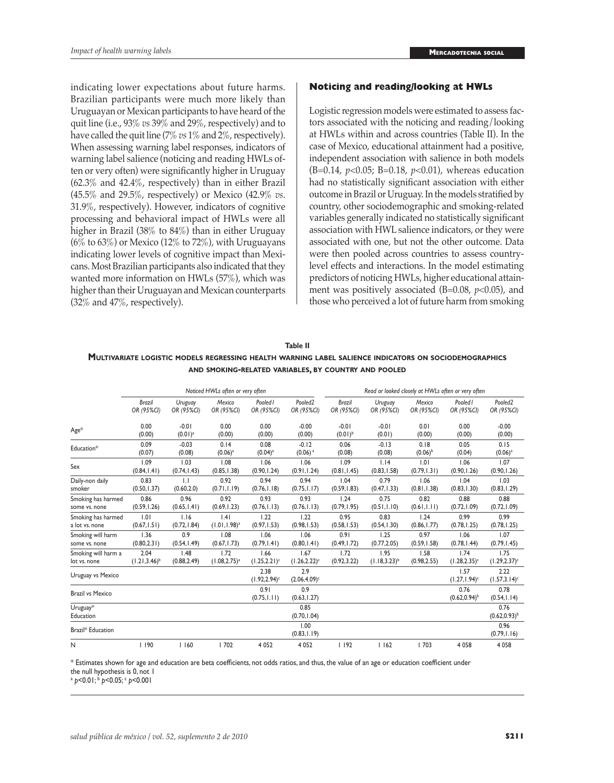indicating lower expectations about future harms. Brazilian participants were much more likely than Uruguayan or Mexican participants to have heard of the quit line (i.e., 93% *vs* 39% and 29%, respectively) and to have called the quit line (7% *vs* 1% and 2%, respectively). When assessing warning label responses, indicators of warning label salience (noticing and reading HWLs often or very often) were significantly higher in Uruguay (62.3% and 42.4%, respectively) than in either Brazil (45.5% and 29.5%, respectively) or Mexico (42.9% *vs*. 31.9%, respectively). However, indicators of cognitive processing and behavioral impact of HWLs were all higher in Brazil (38% to 84%) than in either Uruguay  $(6\%$  to  $63\%)$  or Mexico  $(12\%$  to  $72\%)$ , with Uruguayans indicating lower levels of cognitive impact than Mexicans. Most Brazilian participants also indicated that they wanted more information on HWLs (57%), which was higher than their Uruguayan and Mexican counterparts (32% and 47%, respectively).

# **Noticing and reading/looking at HWLs**

Logistic regression models were estimated to assess factors associated with the noticing and reading/looking at HWLs within and across countries (Table II). In the case of Mexico, educational attainment had a positive, independent association with salience in both models (B=0.14, *p*<0.05; B=0.18, *p*<0.01), whereas education had no statistically significant association with either outcome in Brazil or Uruguay. In the models stratified by country, other sociodemographic and smoking-related variables generally indicated no statistically significant association with HWL salience indicators, or they were associated with one, but not the other outcome. Data were then pooled across countries to assess countrylevel effects and interactions. In the model estimating predictors of noticing HWLs, higher educational attainment was positively associated (B=0.08, *p*<0.05), and those who perceived a lot of future harm from smoking

| Table II                                                                                              |
|-------------------------------------------------------------------------------------------------------|
| MULTIVARIATE LOGISTIC MODELS REGRESSING HEALTH WARNING LABEL SALIENCE INDICATORS ON SOCIODEMOGRAPHICS |
| AND SMOKING-RELATED VARIABLES, BY COUNTRY AND POOLED                                                  |

|                         | Noticed HWLs often or very often |              |                    |                                     |                         |               | Read or looked closely at HWLs often or very often |              |                            |                            |  |
|-------------------------|----------------------------------|--------------|--------------------|-------------------------------------|-------------------------|---------------|----------------------------------------------------|--------------|----------------------------|----------------------------|--|
|                         | <b>Brazil</b>                    | Uruguay      | Mexico             | Pooled1                             | Pooled <sub>2</sub>     | <b>Brazil</b> | Uruguay                                            | Mexico       | Pooled1                    | Pooled <sub>2</sub>        |  |
|                         | OR (95%CI)                       | OR (95%CI)   | OR (95%CI)         | OR (95%CI)                          | OR (95%CI)              | OR (95%CI)    | OR (95%CI)                                         | OR (95%CI)   | OR (95%CI)                 | OR (95%CI)                 |  |
| Age*                    | 0.00                             | $-0.01$      | 0.00               | 0.00                                | $-0.00$                 | $-0.01$       | $-0.01$                                            | 0.01         | 0.00                       | $-0.00$                    |  |
|                         | (0.00)                           | $(0.01)^a$   | (0.00)             | (0.00)                              | (0.00)                  | $(0.01)^{b}$  | (0.01)                                             | (0.00)       | (0.00)                     | (0.00)                     |  |
| Education*              | 0.09                             | $-0.03$      | 0.14               | 0.08                                | $-0.12$                 | 0.06          | $-0.13$                                            | 0.18         | 0.05                       | 0.15                       |  |
|                         | (0.07)                           | (0.08)       | $(0.06)^a$         | $(0.04)^a$                          | $(0.06)$ <sup>a</sup>   | (0.08)        | (0.08)                                             | $(0.06)^{b}$ | (0.04)                     | $(0.06)^a$                 |  |
| Sex                     | 1.09                             | 1.03         | 1.08               | 1.06                                | 1.06                    | 1.09          | 1.14                                               | 1.01         | 1.06                       | 1.07                       |  |
|                         | (0.84, 1.41)                     | (0.74, 1.43) | (0.85, 1.38)       | (0.90, 1.24)                        | (0.91, 1.24)            | (0.81, 1.45)  | (0.83, 1.58)                                       | (0.79, 1.31) | (0.90, 1.26)               | (0.90, 1.26)               |  |
| Daily-non daily         | 0.83                             | 1.1          | 0.92               | 0.94                                | 0.94                    | 1.04          | 0.79                                               | 1.06         | 1.04                       | 1.03                       |  |
| smoker                  | (0.50, 1.37)                     | (0.60, 2.0)  | (0.71, 1.19)       | (0.76, 1.18)                        | (0.75, 1.17)            | (0.59, 1.83)  | (0.47, 1.33)                                       | (0.81, 1.38) | (0.83, 1.30)               | (0.83, 1.29)               |  |
| Smoking has harmed      | 0.86                             | 0.96         | 0.92               | 0.93                                | 0.93                    | 1.24          | 0.75                                               | 0.82         | 0.88                       | 0.88                       |  |
| some vs. none           | (0.59, 1.26)                     | (0.65, 1.41) | (0.69, 1.23)       | (0.76, 1.13)                        | (0.76, 1.13)            | (0.79, 1.95)  | (0.51, 1.10)                                       | (0.61, 1.11) | (0.72, 1.09)               | (0.72, 1.09)               |  |
| Smoking has harmed      | 1.01                             | 1.16         | .4                 | 1.22                                | 1.22                    | 0.95          | 0.83                                               | 1.24         | 0.99                       | 0.99                       |  |
| a lot vs. none          | (0.67, 1.51)                     | (0.72, 1.84) | $(1.01, 1.98)^{a}$ | (0.97, 1.53)                        | (0.98, 1.53)            | (0.58, 1.53)  | (0.54, 1.30)                                       | (0.86, 1.77) | (0.78, 1.25)               | (0.78, 1.25)               |  |
| Smoking will harm       | 1.36                             | 0.9          | 1.08               | 1.06                                | 1.06                    | 0.91          | 1.25                                               | 0.97         | 1.06                       | 1.07                       |  |
| some vs. none           | (0.80, 2.31)                     | (0.54, 1.49) | (0.67, 1.73)       | (0.79, 1.41)                        | (0.80, 1.41)            | (0.49, 1.72)  | (0.77, 2.05)                                       | (0.59, 1.58) | (0.78, 1.44)               | (0.79, 1.45)               |  |
| Smoking will harm a     | 2.04                             | 1.48         | 1.72               | 1.66                                | 1.67                    | 1.72          | 1.95                                               | 1.58         | 1.74                       | 1.75                       |  |
| lot vs. none            | $(1.21, 3.46)^{b}$               | (0.88, 2.49) | $(1.08, 2.75)^{a}$ | $(1.25, 2.21)^c$                    | $(1.26, 2.22)^c$        | (0.92, 3.22)  | $(1.18, 3.23)^{b}$                                 | (0.98, 2.55) | $(1.28, 2.35)^c$           | $(1.29, 2.37)^c$           |  |
| Uruguay vs Mexico       |                                  |              |                    | 2.38<br>$(1.92, 2.94)$ <sup>c</sup> | 2.9<br>$(2.06, 4.09)^c$ |               |                                                    |              | 1.57<br>$(1.27, 1.94)^c$   | 2.22<br>$(1.57, 3.14)^c$   |  |
| <b>Brazil vs Mexico</b> |                                  |              |                    | 0.91<br>(0.75, 1.11)                | 0.9<br>(0.63, 1.27)     |               |                                                    |              | 0.76<br>$(0.62, 0.94)^{b}$ | 0.78<br>(0.54, 1.14)       |  |
| Uruguay*<br>Education   |                                  |              |                    |                                     | 0.85<br>(0.70, 1.04)    |               |                                                    |              |                            | 0.76<br>$(0.62, 0.93)^{b}$ |  |
| Brazil* Education       |                                  |              |                    |                                     | 1.00<br>(0.83, 1.19)    |               |                                                    |              |                            | 0.96<br>(0.79, 1.16)       |  |
| N                       | 190                              | 1160         | 1702               | 4 0 5 2                             | 4 0 5 2                 | 1192          | 1162                                               | 1703         | 4 0 5 8                    | 4 0 5 8                    |  |

\* Estimates shown for age and education are beta coefficients, not odds ratios, and thus, the value of an age or education coefficient under the null hypothesis is 0, not 1

<sup>a</sup> *p*<0.01; b *p*<0.05; c *p*<0.001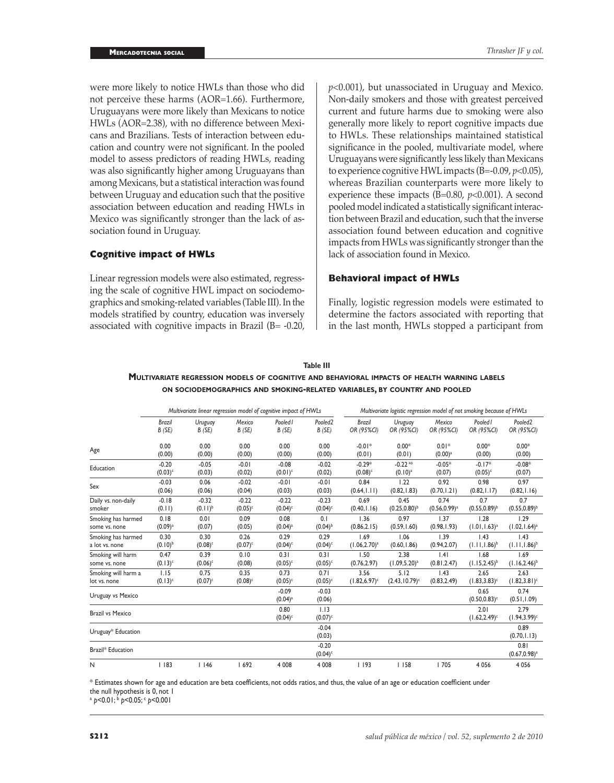were more likely to notice HWLs than those who did not perceive these harms (AOR=1.66). Furthermore, Uruguayans were more likely than Mexicans to notice HWLs (AOR=2.38), with no difference between Mexicans and Brazilians. Tests of interaction between education and country were not significant. In the pooled model to assess predictors of reading HWLs, reading was also significantly higher among Uruguayans than among Mexicans, but a statistical interaction was found between Uruguay and education such that the positive association between education and reading HWLs in Mexico was significantly stronger than the lack of association found in Uruguay.

# **Cognitive impact of HWLs**

Linear regression models were also estimated, regressing the scale of cognitive HWL impact on sociodemographics and smoking-related variables (Table III). In the models stratified by country, education was inversely associated with cognitive impacts in Brazil  $(B = -0.20)$ ,

*p*<0.001), but unassociated in Uruguay and Mexico. Non-daily smokers and those with greatest perceived current and future harms due to smoking were also generally more likely to report cognitive impacts due to HWLs. These relationships maintained statistical significance in the pooled, multivariate model, where Uruguayans were significantly less likely than Mexicans to experience cognitive HWL impacts (B=-0.09, *p*<0.05), whereas Brazilian counterparts were more likely to experience these impacts (B=0.80, *p*<0.001). A second pooled model indicated a statistically significant interaction between Brazil and education, such that the inverse association found between education and cognitive impacts from HWLs was significantly stronger than the lack of association found in Mexico.

#### **Behavioral impact of HWLs**

Finally, logistic regression models were estimated to determine the factors associated with reporting that in the last month, HWLs stopped a participant from

|                         | Multivariate linear regression model of cognitive impact of HWLs |              |            |                                  |                                  | Multivariate logistic regression model of not smoking because of HWLs |                       |                       |                          |                          |
|-------------------------|------------------------------------------------------------------|--------------|------------|----------------------------------|----------------------------------|-----------------------------------------------------------------------|-----------------------|-----------------------|--------------------------|--------------------------|
|                         | Brazil                                                           | Uruguay      | Mexico     | Pooled I                         | Pooled <sub>2</sub>              | <b>Brazil</b>                                                         | Uruguay               | Mexico                | Pooled I                 | Pooled <sub>2</sub>      |
|                         | B(SE)                                                            | B(SE)        | B(SE)      | B(SE)                            | B(SE)                            | OR (95%CI)                                                            | OR (95%CI)            | OR (95%CI)            | OR (95%CI)               | OR (95%CI)               |
| Age                     | 0.00                                                             | 0.00         | 0.00       | 0.00                             | 0.00                             | $-0.01*$                                                              | $0.00*$               | $0.01*$               | $0.00*$                  | $0.00*$                  |
|                         | (0.00)                                                           | (0.00)       | (0.00)     | (0.00)                           | (0.00)                           | (0.01)                                                                | (0.01)                | $(0.00)$ <sup>a</sup> | (0.00)                   | (0.00)                   |
| Education               | $-0.20$                                                          | $-0.05$      | $-0.01$    | $-0.08$                          | $-0.02$                          | $-0.29*$                                                              | $-0.22$ <sup>a*</sup> | $-0.05*$              | $-0.17*$                 | $-0.08*$                 |
|                         | $(0.03)$ <sup>c</sup>                                            | (0.03)       | (0.02)     | $(0.01)^c$                       | (0.02)                           | $(0.08)$ <sup>c</sup>                                                 | (0.10) <sup>a</sup>   | (0.07)                | $(0.05)^c$               | (0.07)                   |
| Sex                     | $-0.03$                                                          | 0.06         | $-0.02$    | $-0.01$                          | $-0.01$                          | 0.84                                                                  | 1.22                  | 0.92                  | 0.98                     | 0.97                     |
|                         | (0.06)                                                           | (0.06)       | (0.04)     | (0.03)                           | (0.03)                           | (0.64, 1.11)                                                          | (0.82, 1.83)          | (0.70, 1.21)          | (0.82, 1.17)             | (0.82, 1.16)             |
| Daily vs. non-daily     | $-0.18$                                                          | $-0.32$      | $-0.22$    | $-0.22$                          | $-0.23$                          | 0.69                                                                  | 0.45                  | 0.74                  | 0.7                      | 0.7                      |
| smoker                  | (0.11)                                                           | $(0.11)^{b}$ | $(0.05)^c$ | $(0.04)$ <sup>c</sup>            | $(0.04)$ <sup>c</sup>            | (0.40, 1.16)                                                          | $(0.25, 0.80)^{b}$    | $(0.56, 0.99)^a$      | $(0.55, 0.89)^{b}$       | $(0.55, 0.89)^{b}$       |
| Smoking has harmed      | 0.18                                                             | 0.01         | 0.09       | 0.08                             | 0.1                              | 1.36                                                                  | 0.97                  | 1.37                  | 1.28                     | 1.29                     |
| some vs. none           | $(0.09)$ <sup>a</sup>                                            | (0.07)       | (0.05)     | $(0.04)$ <sup>a</sup>            | $(0.04)^{b}$                     | (0.86, 2.15)                                                          | (0.59, 1.60)          | (0.98, 1.93)          | $(1.01, 1.63)^a$         | $(1.02, 1.64)^a$         |
| Smoking has harmed      | 0.30                                                             | 0.30         | 0.26       | 0.29                             | 0.29                             | 1.69                                                                  | 1.06                  | 1.39                  | 1.43                     | 1.43                     |
| a lot vs. none          | $(0.10)^{b}$                                                     | $(0.08)^c$   | $(0.07)^c$ | $(0.04)$ <sup>c</sup>            | $(0.04)$ <sup>c</sup>            | $(1.06, 2.70)^a$                                                      | (0.60, 1.86)          | (0.94, 2.07)          | $(1.11, 1.86)^{b}$       | $(1.11, 1.86)^{b}$       |
| Smoking will harm       | 0.47                                                             | 0.39         | 0.10       | 0.31                             | 0.31                             | 1.50                                                                  | 2.38                  | .4                    | 1.68                     | 1.69                     |
| some vs. none           | $(0.13)^c$                                                       | $(0.06)^c$   | (0.08)     | $(0.05)^c$                       | $(0.05)^c$                       | (0.76, 2.97)                                                          | $(1.09, 5.20)^a$      | (0.81, 2.47)          | $(1.15, 2.45)^{b}$       | $(1.16, 2.46)^{b}$       |
| Smoking will harm a     | 1.15                                                             | 0.75         | 0.35       | 0.73                             | 0.71                             | 3.56                                                                  | 5.12                  | 1.43                  | 2.65                     | 2.63                     |
| lot vs. none            | $(0.13)^c$                                                       | $(0.07)^c$   | $(0.08)^c$ | $(0.05)^c$                       | $(0.05)^c$                       | $(1.82, 6.97)^c$                                                      | $(2.43, 10.79)^c$     | (0.83, 2.49)          | $(1.83, 3.83)^c$         | $(1.82, 3.81)^c$         |
| Uruguay vs Mexico       |                                                                  |              |            | $-0.09$<br>$(0.04)$ <sup>a</sup> | $-0.03$<br>(0.06)                |                                                                       |                       |                       | 0.65<br>$(0.50, 0.83)^c$ | 0.74<br>(0.51, 1.09)     |
| <b>Brazil vs Mexico</b> |                                                                  |              |            | 0.80<br>$(0.04)$ <sup>c</sup>    | 1.13<br>$(0.07)$ <sup>c</sup>    |                                                                       |                       |                       | 2.01<br>$(1.62, 2.49)^c$ | 2.79<br>$(1.94, 3.99)^c$ |
| Uruguay* Education      |                                                                  |              |            |                                  | $-0.04$<br>(0.03)                |                                                                       |                       |                       |                          | 0.89<br>(0.70, 1.13)     |
| Brazil* Education       |                                                                  |              |            |                                  | $-0.20$<br>$(0.04)$ <sup>c</sup> |                                                                       |                       |                       |                          | 0.81<br>$(0.67, 0.98)^a$ |
| N                       | 1183                                                             | 1146         | 1692       | 4 0 0 8                          | 4 0 0 8                          | 1193                                                                  | 1158                  | 1705                  | 4 0 5 6                  | 4 0 5 6                  |

**Table III Multivariate regression models of cognitive and behavioral impacts of health warning labels on sociodemographics and smoking-related variables, by country and pooled**

\* Estimates shown for age and education are beta coefficients, not odds ratios, and thus, the value of an age or education coefficient under the null hypothesis is 0, not 1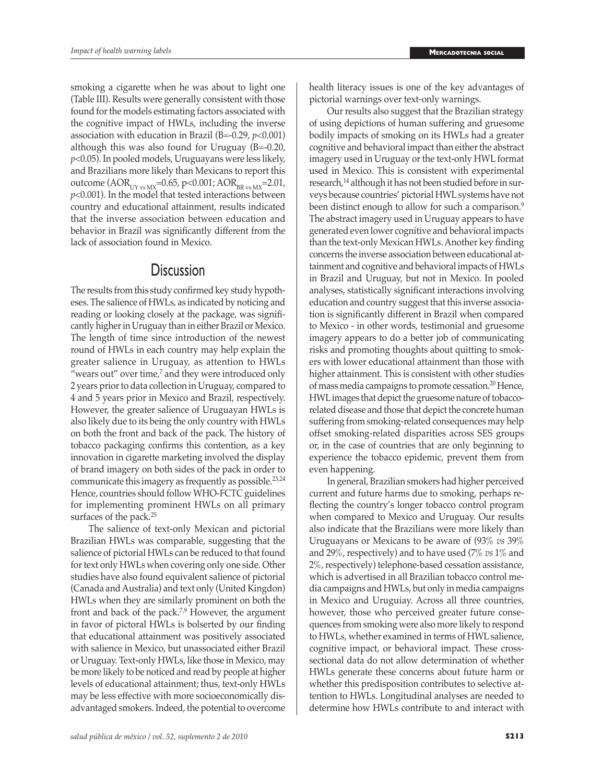smoking a cigarette when he was about to light one (Table III). Results were generally consistent with those found for the models estimating factors associated with the cognitive impact of HWLs, including the inverse association with education in Brazil (B=-0.29, *p*<0.001) although this was also found for Uruguay (B=-0.20, *p*<0.05). In pooled models, Uruguayans were less likely, and Brazilians more likely than Mexicans to report this outcome ( $AOR_{UV \text{ vs } MX}=0.65$ , p<0.001;  $AOR_{BR \text{ vs }MX}=2.01$ , *p*<0.001). In the model that tested interactions between country and educational attainment, results indicated that the inverse association between education and behavior in Brazil was significantly different from the lack of association found in Mexico.

# **Discussion**

The results from this study confirmed key study hypotheses. The salience of HWLs, as indicated by noticing and reading or looking closely at the package, was significantly higher in Uruguay than in either Brazil or Mexico. The length of time since introduction of the newest round of HWLs in each country may help explain the greater salience in Uruguay, as attention to HWLs "wears out" over time, $7$  and they were introduced only 2 years prior to data collection in Uruguay, compared to 4 and 5 years prior in Mexico and Brazil, respectively. However, the greater salience of Uruguayan HWLs is also likely due to its being the only country with HWLs on both the front and back of the pack. The history of tobacco packaging confirms this contention, as a key innovation in cigarette marketing involved the display of brand imagery on both sides of the pack in order to communicate this imagery as frequently as possible.23,24 Hence, countries should follow WHO-FCTC guidelines for implementing prominent HWLs on all primary surfaces of the pack.25

The salience of text-only Mexican and pictorial Brazilian HWLs was comparable, suggesting that the salience of pictorial HWLs can be reduced to that found for text only HWLs when covering only one side. Other studies have also found equivalent salience of pictorial (Canada and Australia) and text only (United Kingdon) HWLs when they are similarly prominent on both the front and back of the pack.<sup>7,9</sup> However, the argument in favor of pictoral HWLs is bolserted by our finding that educational attainment was positively associated with salience in Mexico, but unassociated either Brazil or Uruguay. Text-only HWLs, like those in Mexico, may be more likely to be noticed and read by people at higher levels of educational attainment; thus, text-only HWLs may be less effective with more socioeconomically disadvantaged smokers. Indeed, the potential to overcome health literacy issues is one of the key advantages of pictorial warnings over text-only warnings.

Our results also suggest that the Brazilian strategy of using depictions of human suffering and gruesome bodily impacts of smoking on its HWLs had a greater cognitive and behavioral impact than either the abstract imagery used in Uruguay or the text-only HWL format used in Mexico. This is consistent with experimental research,<sup>14</sup> although it has not been studied before in surveys because countries' pictorial HWL systems have not been distinct enough to allow for such a comparison.<sup>9</sup> The abstract imagery used in Uruguay appears to have generated even lower cognitive and behavioral impacts than the text-only Mexican HWLs. Another key finding concerns the inverse association between educational attainment and cognitive and behavioral impacts of HWLs in Brazil and Uruguay, but not in Mexico. In pooled analyses, statistically significant interactions involving education and country suggest that this inverse association is significantly different in Brazil when compared to Mexico - in other words, testimonial and gruesome imagery appears to do a better job of communicating risks and promoting thoughts about quitting to smokers with lower educational attainment than those with higher attainment. This is consistent with other studies of mass media campaigns to promote cessation.20 Hence, HWL images that depict the gruesome nature of tobaccorelated disease and those that depict the concrete human suffering from smoking-related consequences may help offset smoking-related disparities across SES groups or, in the case of countries that are only beginning to experience the tobacco epidemic, prevent them from even happening.

In general, Brazilian smokers had higher perceived current and future harms due to smoking, perhaps reflecting the country's longer tobacco control program when compared to Mexico and Uruguay. Our results also indicate that the Brazilians were more likely than Uruguayans or Mexicans to be aware of (93% *vs* 39% and 29%, respectively) and to have used (7% *vs* 1% and 2%, respectively) telephone-based cessation assistance, which is advertised in all Brazilian tobacco control media campaigns and HWLs, but only in media campaigns in Mexico and Uruguiay. Across all three countries, however, those who perceived greater future consequences from smoking were also more likely to respond to HWLs, whether examined in terms of HWL salience, cognitive impact, or behavioral impact. These crosssectional data do not allow determination of whether HWLs generate these concerns about future harm or whether this predisposition contributes to selective attention to HWLs. Longitudinal analyses are needed to determine how HWLs contribute to and interact with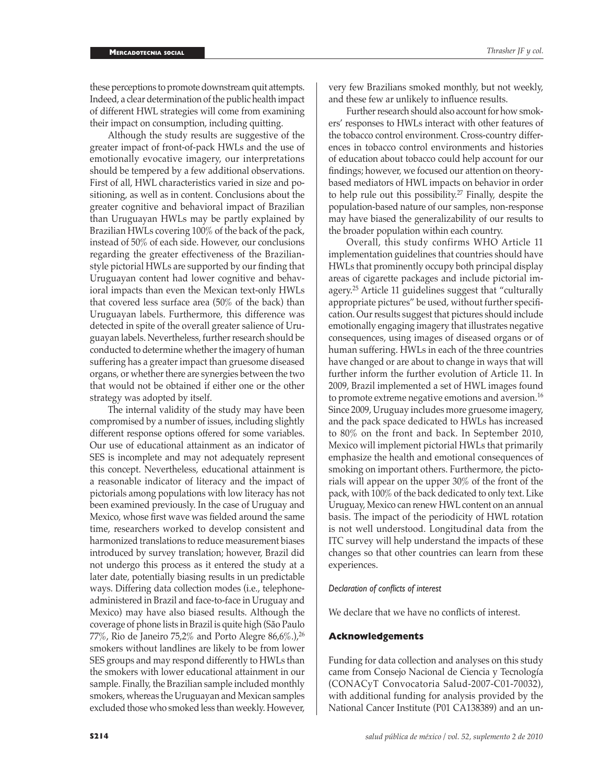these perceptions to promote downstream quit attempts. Indeed, a clear determination of the public health impact of different HWL strategies will come from examining their impact on consumption, including quitting.

Although the study results are suggestive of the greater impact of front-of-pack HWLs and the use of emotionally evocative imagery, our interpretations should be tempered by a few additional observations. First of all, HWL characteristics varied in size and positioning, as well as in content. Conclusions about the greater cognitive and behavioral impact of Brazilian than Uruguayan HWLs may be partly explained by Brazilian HWLs covering 100% of the back of the pack, instead of 50% of each side. However, our conclusions regarding the greater effectiveness of the Brazilianstyle pictorial HWLs are supported by our finding that Uruguayan content had lower cognitive and behavioral impacts than even the Mexican text-only HWLs that covered less surface area (50% of the back) than Uruguayan labels. Furthermore, this difference was detected in spite of the overall greater salience of Uruguayan labels. Nevertheless, further research should be conducted to determine whether the imagery of human suffering has a greater impact than gruesome diseased organs, or whether there are synergies between the two that would not be obtained if either one or the other strategy was adopted by itself.

The internal validity of the study may have been compromised by a number of issues, including slightly different response options offered for some variables. Our use of educational attainment as an indicator of SES is incomplete and may not adequately represent this concept. Nevertheless, educational attainment is a reasonable indicator of literacy and the impact of pictorials among populations with low literacy has not been examined previously. In the case of Uruguay and Mexico, whose first wave was fielded around the same time, researchers worked to develop consistent and harmonized translations to reduce measurement biases introduced by survey translation; however, Brazil did not undergo this process as it entered the study at a later date, potentially biasing results in un predictable ways. Differing data collection modes (i.e., telephoneadministered in Brazil and face-to-face in Uruguay and Mexico) may have also biased results. Although the coverage of phone lists in Brazil is quite high (São Paulo 77%, Rio de Janeiro 75,2% and Porto Alegre 86,6%.),<sup>26</sup> smokers without landlines are likely to be from lower SES groups and may respond differently to HWLs than the smokers with lower educational attainment in our sample. Finally, the Brazilian sample included monthly smokers, whereas the Uruguayan and Mexican samples excluded those who smoked less than weekly. However,

very few Brazilians smoked monthly, but not weekly, and these few ar unlikely to influence results.

Further research should also account for how smokers' responses to HWLs interact with other features of the tobacco control environment. Cross-country differences in tobacco control environments and histories of education about tobacco could help account for our findings; however, we focused our attention on theorybased mediators of HWL impacts on behavior in order to help rule out this possibility.27 Finally, despite the population-based nature of our samples, non-response may have biased the generalizability of our results to the broader population within each country.

Overall, this study confirms WHO Article 11 implementation guidelines that countries should have HWLs that prominently occupy both principal display areas of cigarette packages and include pictorial imagery.25 Article 11 guidelines suggest that "culturally appropriate pictures" be used, without further specification. Our results suggest that pictures should include emotionally engaging imagery that illustrates negative consequences, using images of diseased organs or of human suffering. HWLs in each of the three countries have changed or are about to change in ways that will further inform the further evolution of Article 11. In 2009, Brazil implemented a set of HWL images found to promote extreme negative emotions and aversion.<sup>16</sup> Since 2009, Uruguay includes more gruesome imagery, and the pack space dedicated to HWLs has increased to 80% on the front and back. In September 2010, Mexico will implement pictorial HWLs that primarily emphasize the health and emotional consequences of smoking on important others. Furthermore, the pictorials will appear on the upper 30% of the front of the pack, with 100% of the back dedicated to only text. Like Uruguay, Mexico can renew HWL content on an annual basis. The impact of the periodicity of HWL rotation is not well understood. Longitudinal data from the ITC survey will help understand the impacts of these changes so that other countries can learn from these experiences.

# *Declaration of conflicts of interest*

We declare that we have no conflicts of interest.

# **Acknowledgements**

Funding for data collection and analyses on this study came from Consejo Nacional de Ciencia y Tecnología (CONACyT Convocatoria Salud-2007-C01-70032), with additional funding for analysis provided by the National Cancer Institute (P01 CA138389) and an un-